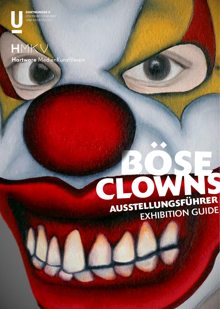**DORTMUNDER L<br>ZENTRUM FÜR KL<br>UND KREATIVITI** 

## Mk

Hartware MedienKunstVereir

## AUSSTELLUNGSFÜHRER EXHIBITION GUIDE

'n.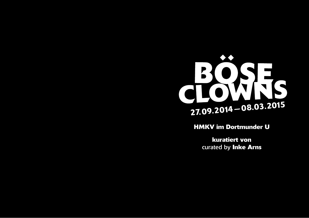

**HMKV im Dortmunder U**

**kuratiert von**  curated by **Inke Arns**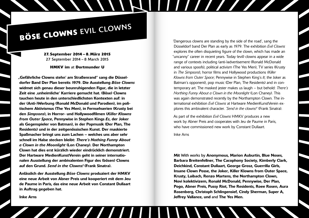## **BÖSE CLOWNS** EVIL CLOWNS

**27. September 2014 – 8. März 2015**  27 September 2014 – 8 March 2015

**HMKV im** at **Dortmunder U**

"Gefährliche Clowns stehn' am Straßenrand" sang die Düsseldorfer Band Der Plan bereits 1979. Die Ausstellung *Böse Clowns* widmet sich genau dieser beunruhigenden Figur, die in letzter Zeit eine .unheimliche' Karriere gemacht hat. (Böse) Clowns tauchen heute in den unterschiedlichsten Kontexten auf: in der (Anti-)Werbung (Ronald McDonald und Parodien), im politischem Aktivismus (The Yes Men), in Fernsehserien (Krusty bei den *Simpsons*), in Horror- und Hollywoodfilmen (*Killer Klowns from Outer Space*, Pennywise in Stephen Kings *Es*, der Joker als Gegenspieler von Batman), in der Popmusik (Der Plan, The Residents) und in der zeitgenössischen Kunst. Der maskierte Spaßmacher bringt uns zum Lachen – welches uns aber sehr schnell im Halse stecken bleibt: *There's Nothing Funny About a Clown in the Moonlight* (Lon Chaney). Der Northampton Clown hat dies erst kürzlich wieder eindrücklich demonstriert. Der Hartware MedienKunstVerein geht in seiner internationalen Ausstellung der ambivalenten Figur des (bösen) Clowns auf den Grund. *Send in the Clowns!* (Frank Sinatra).

Anlässlich der Ausstellung *Böse Clowns* produziert der HMKV eine neue Arbeit von Abner Preis und kooperiert mit dem Jeu de Paume in Paris, das eine neue Arbeit von Constant Dullaart in Auftrag gegeben hat.

'Dangerous clowns are standing by the side of the road', sang the Düsseldorf band Der Plan as early as 1979. The exhibition *Evil Clowns* explores the often disquieting figure of the clown, which has made an "uncanny" career in recent years. Today (evil) clowns appear in a wide range of contexts including (anti-)advertisement (Ronald McDonald and various spoofs), political activism (The Yes Men), TV series (Krusty in *The Simpsons*), horror films and Hollywood productions *(Killer Klowns from Outer Space*; Pennywise in Stephen King's *It*; the Joker as Batman's opponent), pop music (Der Plan, The Residents) and in contemporary art. The masked jester makes us laugh – but behold: *There's Northing Funny About a Clown in the Moonlight* (Lon Chaney). This was again demonstrated recently by the Northampton Clown. The international exhibition *Evil Clowns* at Hartware MedienKunstVerein explores this ambivalent character. *'Send in the clowns!'* (Frank Sinatra).

As part of the exhibition *Evil Clowns* HMKV produces a new work by Abner Preis and cooperates with Jeu de Paume in Paris, who have commissioned new work by Constant Dullaart.

Inke Arns

Mit With works by Anonymous, Marion Auburtin, Blue Noses, Barbara Breitenfellner, The Cacophony Society, Kimberly Clark, Deichkind, Constant Dullaart, George Grosz, Guerrilla Girls, Insane Clown Posse, the Joker, Killer Klowns from Outer Space, Krusty, Laibach, Renzo Martens, the Northampton Clown, Novi kolektivizem, Ronald McDonald, Pennywise, Der Plan, Pogo, Abner Preis, Pussy Riot, The Residents, Roee Rosen, Aura Rosenberg, Christoph Schlingensief, Cindy Sherman, Super A, Jeffrey Vallance, und and The Yes Men.

Inke Arns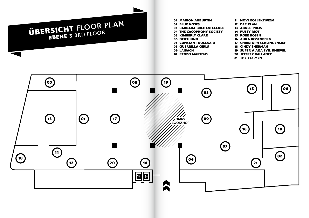## **ÜBERSICHT** FLOOR PLAN **EBENE 3** 3RD FLOOR

 **MARION AUBURTIN BLUE NOSES BARBARA BREITENFELLNER THE CACOPHONY SOCIETY KIMBERLY CLARK DEICHKIND CONSTANT DULLAART GUERRILLA GIRLS LAIBACH RENZO MARTENS**

- **NOVI KOLLEKTIVIZM**
- **DER PLAN**
- **ABNER PREIS**
- **PUSSY RIOT**
- **ROEE ROSEN**
- **AURA ROSENBERG**
- **CHRISTOPH SCHLINGENSIEF**
- **CINDY SHERMAN**
- **SUPER A AKA EVIL KNIEVEL**
- **JEFFREY VALLANCE**
- **THE YES MEN**

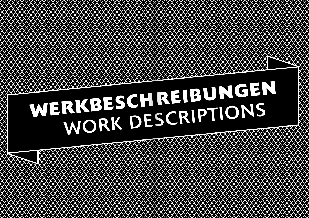# **WERKBESCHREIBUNGEN** WORK DESCRIPTIONS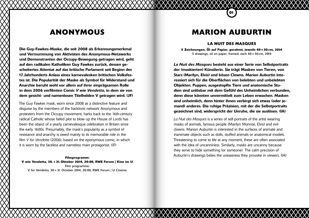## **ANONYMOUS**

Die Guy-Fawkes-Maske, die seit 2008 als Erkennungsmerkmal und Vermummung von Aktivisten des Anonymous-Netzwerks und Demonstranten der Occupy-Bewegung getragen wird, geht auf den radikalen Katholiken Guy Fawkes zurück, dessen gescheitertes Attentat auf das britische Parlament seit Beginn des 17. Jahrhunderts Anlass eines karnevalesken britischen Volksfestes ist. Die Popularität der Maske als Symbol für Widerstand und Anarchie beruht wohl vor allem auf ihrer einprägsamen Rolle in dem 2006 verfilmten Comic *V wie Vendetta*, in dem sie von dem gesicht- und namenlosen Titelhelden V getragen wird. (JF)

The Guy Fawkes mask, worn since 2008 as a distinctive feature and disguise by the members of the hacktivist network Anonymous and protesters from the Occupy movement, harks back to the 16th-century radical Catholic whose failed plot to blow up the House of Lords has been the object of a yearly carnevalesque celebration in Britain since the early 1600s. Presumably, the mask's popularity as a symbol of resistance and anarchy is owed mainly to its memorable role in the film *V for Vendetta* (2006), based on the eponymous comic, in which it is worn by the faceless and nameless main protagonist. (JF)

#### **Filmprogramm:**

**V wie Vendetta, 30. + 31. Oktober 2014, 20:00, RWE Forum | Kino im U** Film programme: V for Vendetta, 30 + 31 October 2014, 20:00, RWE Forum | U Cinema

## **MARION AUBURTIN**

**01**

#### **LA NUIT DES MASQUES**

**5 Zeichnungen, Öl auf Papier, gerahmt, jeweils 40 × 50 cm, 2014** 5 drawings, oil on paper, framed, each 40 × 50 cm, 2014

*La Nuit des Masques* besteht aus einer Serie von Selbstportraits der (maskierten) Künstlerin. Sie trägt Masken von Tieren, von Stars (Marilyn, Elvis) und bösen Clowns. Marion Auburtin interessiert sich für die Oberflächen von belebten und unbelebten Objekten. Puppen, ausgestopfte Tiere und anatomische Studien sind unlösbar mit dem Gefühl des Unheimlichen verbunden, denn diese könnten unvermittelt zum Leben erwachen. Masken sind unheimlich, denn hinter ihnen verbirgt sich etwas (oder jemand) anderes. Die ruhige Präzision, mit der die Selbstportraits gezeichnet sind, widerspricht der Unruhe, die sie auslösen. (IA)

*La Nuit des Masques* is a series of self-portraits of the artist wearing masks of animals, famous people (Marilyn Monroe, Elvis) and evil clowns. Marion Auburtin is interested in the surfaces of animate and inanimate objects such as dolls, stuffed animals or anatomical models. Threatening to come to life at any moment, these are often associated with the idea of uncanniness. Similarly, masks are uncanny because they serve to hide something (or someone). The calm precision of Auburtin's drawings belies the uneasiness they provoke in viewers. (IA)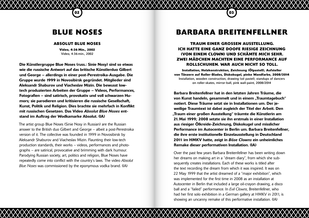## **BLUE NOSES**

**02**

#### **ABSOLUT BLUE NOSES**

**Video, 4:36 Min., 2002**  Video, 4:36 min., 2002

Die Künstlergruppe Blue Noses (russ.: Sinie Nosy) sind so etwas wie die russische Antwort auf das britische Künstlerduo Gilbert und George – allerdings in einer post-Perestroika-Ausgabe. Die Gruppe wurde 1999 in Novosibirsk gegründet. Mitglieder sind Aleksandr Shaburov und Viacheslav Mizin. Die bewusst lowtech produzierten Arbeiten der Gruppe – Videos, Performances, Fotografien – sind satirisch, provokativ und voll schwarzen Humors; sie parodieren und kritisieren die russische Gesellschaft, Kunst, Politik und Religion. Dies brachte sie mehrfach in Konflikt mit russischen Gesetzen. Das Video *Absolut Blue Noses* entstand im Auftrag der Wodkamarke Absolut. (IA)

The artist group Blue Noses (Sinie Nosy in Russian) are the Russian answer to the British duo Gilbert and George – albeit a post-Perestroika version of it. The collective was founded in 1999 in Novosibirsk by Aleksandr Shaburov and Viacheslav Mizin. Flaunting their low-tech production standards, their works – videos, performances and photographs – are satirical, provocative and brimming with dark humour. Parodying Russian society, art, politics and religion, Blue Noses have repeatedly come into conflict with the country's laws. The video *Absolut Blue Noses* was commissioned by the eponymous vodka brand. (IA)

## **BARBARA BREITENFELLNER**

**03**

**TRAUM EINER GROSSEN AUSSTELLUNG. ICH HATTE EINE GANZ DOOFE RIESIGE ZEICHNUNG (VON EINEM CLOWN) UND SCHÄMTE MICH SEHR. ZWEI MÄDCHEN MACHTEN EINE PERFORMANCE AUF ROLLSCHUHEN. WAR AUCH NICHT SO TOLL.**

**Installation, Holzkonstruktion, Zeichnung (Ölpastell), Aufsteller von Tänzern auf Roller-Blades, Diskokugel, pinke Wandfarbe, 2008/2014** Installation, wooden construction, drawing (oil pastel), standups of dancers on roller-skates, mirror-ball, pink wall-paint, 2008/2014

Barbara Breitenfellner hat in den letzten Jahren Träume, die von Kunst handeln, gesammelt und in einem "Traumtagebuch" notiert. Diese Träume setzt sie in Installationen um. Der jeweilige Traumtext ist dabei zugleich der Titel der Arbeit. Den "Traum einer großen Ausstellung" träumte die Künstlerin am 21. Mai 1999; 2008 setzte sie ihn erstmals in einer Installation aus riesiger Ölkreide-Zeichnung, Diskokugel und misslicher Performance im Autocenter in Berlin um. Barbara Breitenfellner, die ihre erste institutionelle Einzelausstellung in Deutschland 2011 im HMKV hatte, zeigt in *Böse Clowns* ein unheimliches Remake dieser performativen Installation. (IA)

Over the past few years Barbara Breitenfellner has been writing down her dreams on making art in a "dream diary", from which she subsequently creates installations. Each of these works is titled after the text recording the dream from which it was inspired. It was on 22 May 1999 that the artist dreamed of a "major exhibition", which was implemented for the first time in 2008 as an installation at Autocenter in Berlin that included a large oil-crayon drawing, a disco ball and a "failed" performance. In *Evil Clowns*, Breitenfellner, who had her first solo exhibition in a German gallery at HMKV in 2011, is showing an uncanny remake of this performative installation. (IA)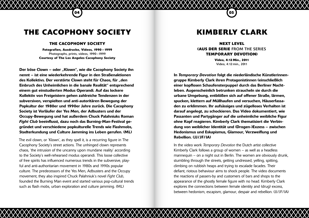## **THE CACOPHONY SOCIETY**

XXXXXXX

**04 05**

#### **THE CACOPHONY SOCIETY**

**Fotografien, Ausdrucke, Videos, 1990 –1999** Photographs, prints, videos, 1990 –1999 **Courtesy of The Los Angeles Cacophony Society**

Der böse Clown – oder "Klown", wie die Cacophony Society ihn nennt – ist eine wiederkehrende Figur in den Straßenaktionen des Kollektivs. Der verstörte Clown steht für Chaos, für "den Einbruch des Unheimlichen in die banale Realität" entsprechend einem gut einstudierten Modus Operandi. Auf das lockere Kollektiv von Freigeistern gehen zahlreiche Tendenzen in der subversiven, verspielten und anti-autoritären Bewegung der Popkultur der 1980er und 1990er Jahre zurück. Die Cacophony Society ist Vorläufer der Yes Men, der Adbusters und der Occupy-Bewegung und hat außerdem Chuck Palahniuks Roman *Fight Club* beeinflusst, dazu noch das Burning-Man-Festival gegründet und verschiedene popkulturelle Trends wie Flashmobs, Stadterkundung und Culture Jamming ins Leben gerufen. (ML)

The evil clown, or 'Klown', as they spell it, is a recurring figure in The Cacophony Society's street actions. The unhinged clown represents chaos, 'the intrusion of the uncanny upon mundane reality' according to the Society's well-rehearsed modus operandi. This loose collective of free spirits has influenced numerous trends in the subversive, playful and anti-authoritarian movement in 1980s and 1990s popular culture. The predecessors of the Yes Men, Adbusters and the Occupy movement, they also inspired Chuck Palahniuk's novel *Fight Club*, founded the Burning Man event and started various pop-cultural trends such as flash mobs, urban exploration and culture jamming. (ML)

## **KIMBERLY CLARK**

**NEXT LEVEL (AUS DER SERIE** FROM THE SERIES **TEMPORARY DEVOTION)** 

> **Video, 4:12 Min., 2011**  Video, 4:12 min., 2011

In *Temporary Devotion* folgt die niederländische Künstlerinnengruppe Kimberly Clark ihren Protagonistinnen (einschließlich einer kopflosen Schaufensterpuppe) durch das Berliner Nachtleben. Augenscheinlich betrunken straucheln sie durch die urbane Umgebung, entblößen sich auf offener Straße, lärmen, spucken, klettern auf Müllhaufen und versuchen, Häuserfassaden zu erklimmen. Ihr aufsässiges und zügelloses Verhalten ist darauf angelegt, zu schockieren. Das Video dokumentiert, wie Passanten und Partygänger auf die unheimliche weibliche Figur ohne Kopf reagieren. Kimberly Clark thematisiert die Verbindung von weiblicher Identität und (Drogen-)Exzess – zwischen Hedonismus und Eskapismus, Glamour, Verzweiflung und Rebellion. (JJ/JF/IA)

In the video work *Temporary Devotion* the Dutch artist collective Kimberly Clark follows a group of women – as well as a headless mannequin – on a night out in Berlin. The women are obviously drunk, stumbling through the streets, getting undressed, yelling, spitting, climbing on rubbish heaps and trying to escalade facades. Their defiant, riotous behaviour aims to shock people. The video documents the reactions of passers-by and customers of bars and shops to the appearance of the ghostly female figure with no head. Kimberly Clark explores the connections between female identity and (drug) excess, between hedonism, escapism, glamour, despair and rebellion. (JJ/JF/IA)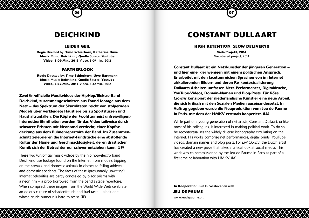## **DEICHKIND**

**06 07**

#### **LEIDER GEIL**

**Regie** Directed by: **Timo Schierhorn, Katharina Duve Musik** Music: **Deichkind, Quelle** Source: **Youtube Video, 3:09 Min., 2012** Video, 3:09 min., 2012

#### **PARTNERLOOK**

**Regie** Directed by: **Timo Schierhorn, Uwe Hartmann Musik** Music: **Deichkind, Quelle** Source: **Youtube Video, 3:32 Min., 2012** Video, 3:32 min., 2012

Zwei (in)offizielle Musikvideos der HipHop/Elektro-Band Deichkind, zusammengeschnitten aus Found footage aus dem Netz – das Spektrum der Skurrilitäten reicht von stolpernden Models über verkleidete Haustiere bis zu Sportstürzen und Haushaltsunfällen. Die Köpfe der (wohl zumeist unfreiwilligen) Internetberühmtheiten wurden für das Video teilweise durch schwarze Prismen mit Neonrand verdeckt, einer Kopfbedeckung aus dem Bühnenrepertoire der Band. Im Zusammenschnitt zelebrieren die Internet-Fundstücke eine abstoßende Kultur der Häme und Geschmacklosigkeit, deren drastischer Komik sich der Betrachter nur schwer entziehen kann. (JF)

These two (un)official music videos by the hip hop/electro band Deichkind use footage found on the Internet, from models tripping on the catwalk and domestic animals in clothes to falling athletes and domestic accidents. The faces of these (presumably unwitting) Internet celebrities are partly concealed by black prisms with a neon rim – a prop borrowed from the band's stage repertoire. When compiled, these images from the World Wide Web celebrate an odious culture of schadenfreude and bad taste – albeit one whose crude humour is hard to resist. (JF)

## **CONSTANT DULLAART**

#### **HIGH RETENTION, SLOW DELIVERY!!**

**Web-Projekt, 2014**  Web-based project, 2014

Constant Dullaart ist ein Netzkünstler der jüngeren Generation – und hier einer der wenigen mit einem politischen Anspruch. Er arbeitet mit den facettenreichen Sprachen von im Internet zirkulierenden Bildern und deren Re-kontextualisierung. Dullaarts Arbeiten umfassen Netz-Performances, Digitaldrucke, YouTube-Videos, Domain-Namen und Blog-Posts. Für *Böse Clowns* konzipiert der niederländische Künstler eine neue Arbeit, die sich kritisch mit den Sozialen Medien auseinandersetzt. In Auftrag gegeben wurde die Neuproduktion vom Jeu de Paume in Paris, mit dem der HMKV erstmals kooperiert. (IA)

While part of a young generation of net artists, Constant Dullaart, unlike most of his colleagues, is interested in making political work. To do so, he recontextualises the widely diverse iconography circulating on the Internet. His works comprise net performances, digital prints, YouTube videos, domain names and blog posts. For *Evil Clowns*, the Dutch artist has created a new piece that takes a critical look at social media. This work was co-commissioned by the Jeu de Paume in Paris as part of a first-time collaboration with HMKV. (IA)

**In Kooperation mit** In collaboration with www.jeudepaume.org **JEU DE PAUME**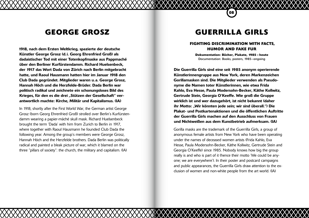## **GEORGE GROSZ**

1918, nach dem Ersten Weltkrieg, spazierte der deutsche Künstler George Grosz (d. i. Georg Ehrenfried Groß) als dadaistischer Tod mit einer Totenkopfmaske aus Pappmaché über den Berliner Kurfürstendamm. Richard Huelsenbeck, der 1917 das Wort Dada von Zürich nach Berlin mitgebracht hatte, und Raoul Hausmann hatten hier im Januar 1918 den Club Dada gegründet. Mitglieder waren u.a. George Grosz, Hannah Höch und die Herzfelde-Brüder. Dada Berlin war politisch radikal und zeichnete ein schonungsloses Bild des Krieges, für den es die drei "Stützen der Gesellschaft" verantwortlich machte: Kirche, Militär und Kapitalismus. (IA)

In 1918, shortly after the First World War, the German artist George Grosz (born Georg Ehrenfried Groß) strolled over Berlin's Kurfürstendamm wearing a papier-mâché skull mask. Richard Huelsenbeck brought the term 'Dada' with him from Zurich to Berlin in 1917, where together with Raoul Hausmann he founded Club Dada the following year. Among the group's members were George Grosz, Hannah Höch and the Herzfelde brothers. Dada Berlin was politically radical and painted a bleak picture of war, which it blamed on the three "pillars of society": the church, the military and capitalism. (IA)

## **GUERRILLA GIRLS**

**08**

#### **FIGHTING DISCRIMINATION WITH FACTS, HUMOR AND FAKE FUR**

**Dokumentation: Bücher, Plakate, 1985 – heute** Documentation: Books, posters, 1985–ongoing

Die Guerrilla Girls sind eine seit 1985 anonym operierende Künstlerinnengruppe aus New York, deren Markenzeichen Gorillamasken sind. Die Mitglieder verwenden als Pseudonyme die Namen toter Künstlerinnen, wie etwa Frida Kahlo, Eva Hesse, Paula Modersohn-Becker, Käthe Kollwitz, Gertrude Stein, Georgia O'Keeffe. Wie groß die Gruppe wirklich ist und wer dazugehört, ist nicht bekannt (daher ihr Motto: "Wir könnten jede sein: wir sind überall.") Die Plakat- und Postkartenaktionen und die öffentlichen Auftritte der Guerrilla Girls machen auf den Ausschluss von Frauen und Nichtweißen aus dem Kunstbetrieb aufmerksam. (IA)

Gorilla masks are the trademark of the Guerrilla Girls, a group of anonymous female artists from New York who have been operating under the names of deceased women artists (Frida Kahlo, Eva Hesse, Paula Modersohn-Becker, Käthe Kollwitz, Gertrude Stein and Georgia O'Keeffe) since 1985. Nobody knows how big the group really is and who is part of it (hence their motto 'We could be anyone; we are everywhere'). In their poster and postcard campaigns and public appearances, the Guerrilla Girls draw attention to the exclusion of women and non-white people from the art world. (IA)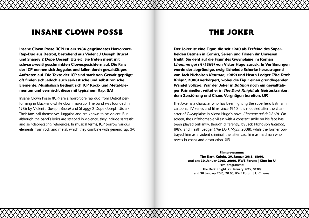## **INSANE CLOWN POSSE**

Insane Clown Posse (ICP) ist ein 1986 gegründetes Horrorcore--Rap-Duo aus Detroit, bestehend aus Violent J (Joseph Bruce) und Shaggy 2 Dope (Joseph Utsler). Sie treten meist mit schwarz-weiß geschminkten Clownsgesichtern auf. Die Fans der ICP nennen sich Juggalos und fallen durch gewalttätiges Auftreten auf. Die Texte der ICP sind stark von Gewalt geprägt; oft finden sich jedoch auch sarkastische und selbstironische Elemente. Musikalisch bedient sich ICP Rock- und Metal-Elementen und vermischt diese mit typischem Rap. (IA)

Insane Clown Posse (ICP) are a horrorcore rap duo from Detroit performing in black-and-white clown makeup. The band was founded in 1986 by Violent J (Joseph Bruce) and Shaggy 2 Dope (Joseph Utsler). Their fans call themselves Juggalos and are known to be violent. But although the band's lyrics are steeped in violence, they include sarcastic and self-deprecating references. In musical terms, ICP borrow various elements from rock and metal, which they combine with generic rap. (IA)

## **THE JOKER**

Der Joker ist eine Figur, die seit 1940 als Erzfeind des Superhelden Batman in Comics, Serien und Filmen ihr Unwesen treibt. Sie geht auf die Figur des Gwynplaine im Roman *L'homme qui rit* (1869) von Victor Hugo zurück. In Verfilmungen wurde der abgründige, ewig lächelnde Schurke herausragend von Jack Nicholson (*Batman*, 1989) und Heath Ledger (*The Dark Knight*, 2008) verkörpert, wobei die Figur einen grundlegenden Wandel vollzog: War der Joker in *Batman* noch ein gewalttätiger Krimineller, wütet er in *The Dark Knight* als Geisteskranker, dem Zerstörung und Chaos Vergnügen bereiten. (JF)

The Joker is a character who has been fighting the superhero Batman in cartoons, TV series and films since 1940. It is modeled after the character of Gwynplaine in Victor Hugo's novel *L'homme qui rit* (1869). On screen, the unfathomable villain with a constant smile on his face has been played brilliantly, though differently, by Jack Nicholson (*Batman*, 1989) and Heath Ledger (*The Dark Night*, 2008): while the former portrayed him as a violent criminal, the latter cast him as madman who revels in chaos and destruction. (JF)

#### **Filmprogramm:**

**The Dark Knight, 29. Januar 2015, 18:00, und am 30. Januar 2015, 20:00, RWE Forum | Kino im U** Film programme: The Dark Knight, 29 January 2015, 18:00, and 30 January 2015, 20:00, RWE Forum | U Cinema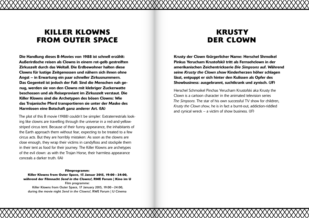## **KILLER KLOWNS FROM OUTER SPACE**

Die Handlung dieses B-Movies von 1988 ist schnell erzählt: Außerirdische reisen als Clowns in einem rot-gelb gestreiften Zirkuszelt durch das Weltall. Die Erdbewohner halten diese Clowns für lustige Zeitgenossen und nähern sich ihnen ohne Angst – in Erwartung ein paar schneller Zirkusnummern. Das Gegenteil ist jedoch der Fall: Sind die Menschen nah genug, werden sie von den Clowns mit klebriger Zuckerwatte beschossen und als Reiseproviant im Zirkuszelt verstaut. Die Killer Klowns sind die Archetypen des bösen Clowns: Wie das Trojanische Pferd transportieren sie unter der Maske des Harmlosen eine Botschaft ganz anderer Art. (IA)

The plot of this B movie (1988) couldn't be simpler: Extraterrestrials looking like clowns are travelling through the universe in a red-and-yellowstriped circus tent. Because of their funny appearance, the inhabitants of the Earth approach them without fear, expecting to be treated to a few circus acts. But they are horribly mistaken: As soon as the clowns are close enough, they wrap their victims in candyfloss and stockpile them in their tent as food for their journey. The Killer Klowns are archetypes of the evil clown: as with the Trojan Horse, their harmless appearance conceals a darker truth. (IA)

#### **Filmprogramm:**

**Killer Klowns from Outer Space, 17. Januar 2015, 19:00 – 24:00, während der Filmnacht** *Send in the Clowns!***, RWE Forum | Kino im U**  Film programme: Killer Klowns from Outer Space, 17 January 2015, 19:00 –24:00, during the movie night *Send in the Clowns!*, RWE Forum | U Cinema

## **KRUSTY DER CLOWN**

Krusty der Clown (bürgerlicher Name: Herschel Shmoikel Pinkus Yerucham Krustofski) tritt als Fernsehclown in der amerikanischen Zeichentrickserie *Die Simpsons* auf. Während seine *Krusty the Clown show* Kinderherzen höher schlagen lässt, entpuppt er sich hinter den Kulissen als Opfer des Showbusiness: ausgebrannt, suchtkrank und zynisch. (JF)

Herschel Schmoikel Pinchas Yerucham Krustofski aka Krusty the Clown is a cartoon character in the animated television series *The Simpsons*. The star of his own successful TV show for children, *Krusty the Clown show*, he is in fact a burnt-out, addiction-riddled and cynical wreck  $-$  a victim of show business. (JF)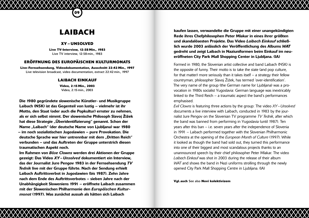## **LAIBACH**

**09**

#### **XY – UNSOLVED**

**Live TV-Interview, 12:58 Min., 1983**  Live TV interview, 12:58 min., 1983

#### **ERÖFFNUNG DES EUROPÄISCHEN KULTURMONATS**

**Live-Fernsehsendung, Videodokumentation, Ausschnitt 22:42 Min., 1997** Live television broadcast, video documentation, extract 22:42 min., 1997

#### **LAIBACH EINKAUF**

**Video, 2:15 Min., 2003**  Video, 2:15 min., 2003

Die 1980 gegründete slowenische Künstler- und Musikgruppe Laibach (NSK) ist das Gegenteil von lustig – vielmehr ist ihr Motto, den Staat (oder auch die Popkultur) ernster zu nehmen, als er sich selbst nimmt. Der slowenische Philosoph Slavoj Žižek hat diese Strategie "Überidentifizierung" genannt. Schon der Name "Laibach" (der deutsche Name von Ljubljana) war 1980 – im noch sozialistischen Jugoslawien – pure Provokation. Die deutsche Sprache war hier untrennbar mit dem "Dritten Reich" verbunden – und das Auftreten der Gruppe unterstrich diesen traumatischen Aspekt noch.

Im Rahmen von *Böse Clowns* werden drei Aktionen der Gruppe gezeigt: Das Video *XY–Unsolved* dokumentiert ein Interview, das der Journalist Jure Pengov 1983 in der Fernsehsendung *TV Tednik* live mit der Gruppe führte. Nach der Sendung erhielt Laibach Auftrittsverbot in Jugoslawien (bis 1987). Zehn Jahre nach dem Ende des Auftrittsverbotes – sieben Jahre nach der Unabhängigkeit Sloweniens 1991 – eröffnete Laibach zusammen mit der Slowenischen Philharmonie den *Europäischen Kulturmonat* (1997). Was zunächst aussah als hätten sich Laibach

kaufen lassen, verwandelte die Gruppe mit einer unangekündigten Rede ihres Chefphilosophen Peter Mlakar in eines ihrer größten und skandalösesten Projekte. Das Video *Laibach Einkauf* schließlich wurde 2003 anlässlich der Veröffentlichung des Albums *WAT* gedreht und zeigt Laibach in Naziuniformen beim Einkauf im neueröffneten City Park Mall Shopping Center in Ljubljana. (IA)

Formed in 1980, the Slovenian artist collective and band Laibach (NSK) is the opposite of funny. Their motto is to take the state (and pop culture, for that matter) more seriously than it takes itself  $-$  a strategy their fellow countryman, philosopher Slavoj Žižek, has termed 'over-identification'. The very name of the group (the German name for Ljubljana) was a provocation in 1980s socialist Yugoslavia: German language was inextricably linked to the Third Reich – a traumatic aspect the band's performances emphasised.

*Evil Clowns* is featuring three actions by the group: The video *XY– Unsolved* documents a live interview with Laibach, conducted in 1983 by the journalist Jure Pengov on the Slovenian TV programme *TV Tednik*, after which the band was banned from performing in Yugoslavia (until 1987). Ten years after this ban – i.e. seven years after the independence of Slovenia in 1991 – Laibach performed together with the Slovenian Philharmonic Orchestra at the opening of the *European Month of Culture* (1997). While it looked as though the band had sold out, they turned this performance into one of their biggest and most scandalous projects thanks to an unannounced speech by their chief philosopher Peter Mlakar. The video *Laibach Einkauf* was shot in 2003 during the release of their album *WAT* and shows the band in Nazi uniforms strolling through the newly opened City Park Mall Shopping Centre in Ljubljana. (IA)

**Vgl. auch** See also **Novi kolektivizem**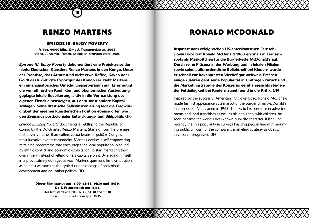## **RENZO MARTENS**

**10**

#### **EPISODE III: ENJOY POVERTY**

**Video, 90:00 Min., OmeU, Transportkisten, 2008**  Video, 90:00 min., French, s/t English, transport cases, 2008

*Episode III: Enjoy Poverty* dokumentiert eine Projektreise des niederländischen Künstlers Renzo Martens in den Kongo. Unter der Prämisse, dass Armut (und nicht etwa Kaffee, Kakao oder Gold) das lukrativste Exportgut des Kongo sei, zieht Martens ein emanzipatorisches Umschulungsprogramm auf: Er ermutigt die von ethnischen Konflikten und ökonomischer Ausbeutung geplagte lokale Bevölkerung, aktiv in die Vermarktung des eigenen Elends einzusteigen, aus dem sonst andere Kapital schlagen. Seine drastische Selbstinszenierung legt die Fragwürdigkeit der eigenen künstlerischen Position ebenso offen wie den Zynismus postkolonialer Entwicklungs- und Bildpolitik. (JF)

*Episode III: Enjoy Poverty* documents a fieldtrip to the Republic of Congo by the Dutch artist Renzo Martens. Starting from the premise that poverty (rather than coffee, cocoa beans or gold) is Congo's most lucrative export commodity, Martens devises a self-empowering retraining programme that encourages the local population, plagued by ethnic conflict and economic exploitation, to start marketing their own misery instead of letting others capitalise on it. By staging himself in a provocatively outrageous way, Martens questions his own position as an artist as much as the cynical underpinnings of postcolonial development and education policies. (JF)

> **Dieser Film startet um 11:00, 12:45, 14:30 und 16:30, Do & Fr zusätzlich um 18:15.** This film starts at 11:00, 12:45, 14:30 and 16:30, on Thu & Fri additionally at 18:15.

## **RONALD MCDONALD**

Inspiriert vom erfolgreichen US-amerikanischen Fernsehclown Bozo trat Ronald McDonald 1963 erstmals in Fernsehspots als Maskottchen für die Burgerkette McDonald's auf. Durch seine Präsenz in der Werbung und in lokalen Filialen sowie seine außerordentliche Beliebtheit bei Kindern wurde er schnell zur bekanntesten Werbefigur weltweit. Erst seit einigen Jahren geht seine Popularität in Umfragen zurück und die Marketingstrategie des Konzerns gerät angesichts steigender Fettleibigkeit bei Kindern zunehmend in die Kritik. (JF)

Inspired by the successful American TV clown Bozo, Ronald McDonald made his first appearance as a mascot of the burger chain McDonald's in a series of TV ads aired in 1963. Thanks to his presence in advertisements and local franchises as well as his popularity with children, he soon became the world's best-known publicity character. It isn't until recently that his popularity in surveys has dropped, in line with mounting public criticism of the company's marketing strategy as obesity in children progresses. (JF)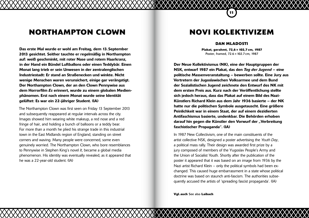## **NORTHAMPTON CLOWN**

Das erste Mal wurde er wohl am Freitag, dem 13. September 2013 gesichtet. Seither tauchte er regelmäßig in Northampton auf: weiß geschminkt, mit roter Nase und rotem Haarkranz, in der Hand ein Bündel Luftballons oder einen Teddybär. Einen Monat lang trieb er sein Unwesen in der zentralenglischen Industriestadt: Er stand an Straßenecken und winkte. Nicht wenige Menschen waren verunsichert, einige gar verängstigt. Der Northampton Clown, der an den Clown Pennywise aus dem Horrorfilm *Es* erinnert, wurde zu einem globalen Medienphänomen. Erst nach einem Monat wurde seine Identität gelüftet: Es war ein 22-jähriger Student. (IA)

The Northampton Clown was first seen on Friday 13 September 2013 and subsequently reappeared at regular intervals across the city. Images showed him wearing white makeup, a red nose and a red fringe of hair, and holding a bunch of balloons or a teddy bear. For more than a month he plied his strange trade in this industrial town in the East Midlands region of England, standing on street corners and waving. Many people were concerned, some even genuinely worried. The Northampton Clown, who bore resemblances to Pennywise in Stephen King's novel *It*, became a global media phenomenon. His identity was eventually revealed, as it appeared that he was a 22-year-old student. (IA)

## **NOVI KOLEKTIVIZEM**

**11**

#### **DAN MLADOSTI**

**Plakat, gerahmt, 72,6 × 102,7 cm, 1987**  Poster, framed, 72.6 ×102.7 cm, 1987

Der Neue Kollektivismus (NK), eine der Hauptgruppen der NSK, entwarf 1987 ein Plakat, das den *Tag der Jugend* – eine politische Massenveranstaltung – bewerben sollte. Eine Jury aus Vertretern der Jugoslawischen Volksarmee und dem Bund der Sozialistischen Jugend zeichnete den Entwurf des NK mit dem ersten Preis aus. Kurz nach der Veröffentlichung stellte sich jedoch heraus, dass das Plakat auf einem Bild des Nazi--Künstlers Richard Klein aus dem Jahr 1936 basierte – der NK hatte nur die politischen Symbole ausgetauscht. Eine größere Peinlichkeit war in einem Staat, der auf einem dezidierten Antifaschismus basierte, undenkbar. Die Behörden erhoben darauf hin gegen die Künstler den Vorwurf der "Verbreitung faschistischer Propaganda". (IA)

In 1987 New Collectivism, one of the main constituents of the artist collective NSK, designed a poster advertising the *Youth Day*, a political mass rally. Their design was awarded first prize by a jury composed of members of the Yugoslav People's Army and the Union of Socialist Youth. Shortly after the publication of the poster it appeared that it was based on an image from 1936 by the Nazi artist Richard Klein – only the political symbols had been exchanged. This caused huge embarrassment in a state whose political doctrine was based on staunch anti-fascism. The authorities subsequently accused the artists of 'spreading fascist propaganda'. (IA)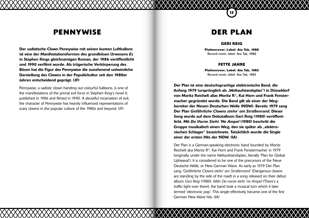## **PENNYWISE**

Der sadistische Clown Pennywise mit seinen bunten Luftballons ist eine der Manifestationsformen des grundbösen Urwesens *Es* in Stephen Kings gleichnamigen Roman, der 1986 veröffentlicht und 1990 verfilmt wurde. Als trügerische Verkörperung des Bösen hat die Figur des Pennywise die zunehmend unheimliche Darstellung des Clowns in der Populärkultur seit den 1980er Jahren entscheidend geprägt. (JF)

Pennywise, a sadistic clown handing out colourful balloons, is one of the manifestations of the primal evil force in Stephen King's novel *It*, published in 1986 and filmed in 1990. A deceitful incarnation of evil, the character of Pennywise has heavily influenced representations of scary clowns in the popular culture of the 1980s and beyond. (JF)

## **DER PLAN**

**12**

#### **GERI REIG**

**Plattencover, Label: Ata Tak, 1980** Record cover, label: Ata Tak, 1980

#### **FETTE JAHRE**

**Plattencover, Label: Ata Tak, 1985**  Record cover, label: Ata Tak, 1985

Der Plan ist eine deutschsprachige elektronische Band, die Anfang 1979 (ursprünglich als "Weltaufstandsplan") in Düsseldorf von Moritz Reichelt alias Moritz R®, Kai Horn und Frank Fenstermacher gegründet wurde. Die Band gilt als einer der Wegbereiter der Neuen Deutschen Welle (NDW). Bereits 1979 sang Der Plan *Gefährliche Clowns stehn' am Straßenrand*. Dieser Song wurde auf dem Debutalbum Geri Reig (1980) veröffentlicht. Mit *Da Vorne Steht 'Ne Ampel* (1980) beschritt die Gruppe musikalisch einen Weg, den sie später als "elektronischen Schlager" bezeichnete. Tatsächlich wurde die Single einer der ersten Hits der NDW. (IA)

Der Plan is a German-speaking electronic band founded by Moritz Reichelt aka Moritz R®, Kai Horn and Frank Fenstermacher in 1979 (originally under the name Weltaufstandsplan, literally 'Plan for Global Upheaval'). It is considered to be one of the precursors of the Neue Deutsche Welle, or New German Wave. As early as 1979 Der Plan sang *'Gefährliche Clowns stehn' am Straßenrand'* (Dangerous clowns are standing by the side of the road) in a song released on their debut album *Geri Reig* (1980). With *Da vorne steht 'ne Ampel* (There's a traffic light over there), the band took a musical turn which it later termed 'electronic pop'. This single effectively became one of the first German New Wave hits. (IA)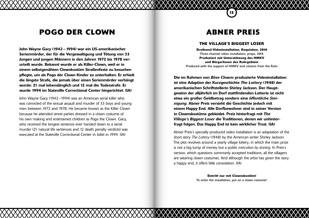## **POGO DER CLOWN**

John Wayne Gacy (1942–1994) war ein US-amerikanischer Serienmörder, der für die Vergewaltigung und Tötung von 33 Jungen und jungen Männern in den Jahren 1972 bis 1978 verurteilt wurde. Bekannt wurde er als Killer-Clown, weil er in einem selbstgenähten Clownkostüm Straßenfeste zu besuchen pflegte, um als Pogo der Clown Kinder zu unterhalten. Er erhielt die längste Strafe, die jemals über einen Serienmörder verhängt wurde: 21 mal lebenslänglich und 12 mal die Todesstrafe. Er wurde 1994 im Stateville Correctional Center hingerichtet. (IA)

John Wayne Gacy (1942–1994) was an American serial killer who was convicted of the sexual assault and murder of 33 boys and young men between 1972 and 1978. He became known as the Killer Clown because he attended street parties dressed in a clown costume of his own making and entertained children as Pogo the Clown. Gacy, who received the longest sentence ever handed down to a serial murder (21 natural life sentences and 12 death penalty verdicts) was executed at the Stateville Correctional Center in Joliet in 1994. (IA)

## **ABNER PREIS**

**13**

#### **THE VILLAGE'S BIGGEST LOSER**

**Dreikanal-Videoinstallation, Requisiten, 2014** Three-channel video installation, props, 2014 **Produziert mit Unterstützung des HMKV und BürgerInnen des Ruhrgebiets**  Produced with the support of HMKV and citizens from the Ruhr

Die im Rahmen von *Böse Clowns* produzierte Videoinstallation ist eine Adaption der Kurzgeschichte *The Lottery* (1948) der amerikanischen Schriftstellerin Shirley Jackson. Der Hauptgewinn der alljährlich im Dorf stattfindenden Lotterie ist nicht etwa ein großer Geldbetrag sondern eine *öffentliche Steinigung*. Abner Preis versieht die Geschichte jedoch mit einem Happy End. Alle Dorfbewohner sind in seiner Version in Clownskostüme gekleidet. Preis hinterfragt mit *The Village's Biggest Loser* die Traditionen, denen wir unhinterfragt folgen. Das Happy End ist kein wirklicher Trost. (IA)

Abner Preis's specially produced video installation is an adaptation of the short story *The Lottery* (1948) by the American writer Shirley Jackson. The plot revolves around a yearly village lottery, in which the main prize is not a big lump of money but a public *execution by stoning*. In Preis's version, which questions commonly accepted traditions, all the villagers are wearing clown costumes. And although the artist has given the story a happy end, it offers little consolation. (IA)

> **Eintritt nur mit Clownskostüm!** To enter the installation, put on a clown costume!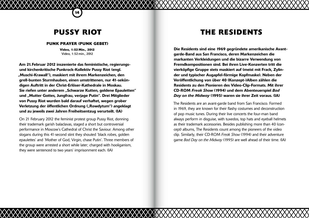## **PUSSY RIOT**

**14**

#### **PUNK PRAYER (PUNK GEBET)**

**Video, 1:52 Min., 2012**  Video, 1:52 min., 2012

Am 21.Februar 2012 inszenierte das feministische, regierungsund kirchenkritische Punkrock-Kollektiv Pussy Riot (engl. "Muschi-Krawall"), maskiert mit ihrem Markenzeichen, den grell-bunten Sturmhauben, einen umstrittenen, nur 41-sekündigen Auftritt in der Christ-Erlöser-Kathedrale in Moskau. Sie riefen unter anderem "Schwarze Kutten, goldene Epauletten" und "Mutter Gottes, Jungfrau, verjage Putin". Drei Mitglieder von Pussy Riot wurden bald darauf verhaftet, wegen grober Verletzung der öffentlichen Ordnung ("Rowdytum") angeklagt und zu jeweils zwei Jahren Freiheitsentzug verurteilt. (IA)

On 21 February 2012 the feminist protest group Pussy Riot, donning their trademark garish balaclavas, staged a short but controversial performance in Moscow's Cathedral of Christ the Saviour. Among other slogans during this 41-second stint they shouted 'black robes, golden epaulettes' and 'Mother of God, Virgin, chase Putin'. Three members of the group were arrested a short while later; charged with hooliganism, they were sentenced to two years' imprisonment each. (IA)

## **THE RESIDENTS**

Die Residents sind eine 1969 gegründete amerikanische Avantgarde-Band aus San Francisco, deren Markenzeichen die markanten Verkleidungen und die bizarre Verwendung von Fremdkompositionen sind. Bei ihren Live-Konzerten tritt die vierköpfige Gruppe stets maskiert auf (meist mit Frack, Zylinder und typischer Augapfel-förmige Kopfmaske). Neben der Veröffentlichung von über 40 (Konzept-)Alben zählen die Residents zu den Pionieren des Video-Clip-Formats. Mit ihrer CD-ROM *Freak Show* (1994) und dem Abenteuerspiel *Bad Day on the Midway* (1995) waren sie ihrer Zeit voraus. (IA)

The Residents are an avant-garde band from San Francisco. Formed in 1969, they are known for their flashy costumes and deconstruction of pop music tunes. During their live concerts the four-man band always perform in disguise, with tuxedos, top hats and eyeball helmets as their trademark accessories. Besides publishing more than 40 (concept) albums, The Residents count among the pioneers of the video clip. Similarly, their CD-ROM *Freak Show* (1994) and their adventure game *Bad Day on the Midway* (1995) are well ahead of their time. (IA)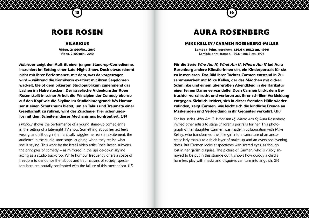## **ROEE ROSEN**

**15 16**

#### **HILARIOUS**

**Video, 21:00 Min., 2010**  Video, 21:00 min., 2010

*Hilarious* zeigt den Auftritt einer jungen Stand-up-Comedienne, inszeniert im Setting einer Late-Night-Show. Doch etwas stimmt nicht mit ihrer Performance, mit dem, was da vorgetragen wird – während die Komikerin exaltiert mit ihren Segelohren wackelt, bleibt dem pikierten Studiopublikum zunehmend das Lachen im Halse stecken. Der israelische Videokünstler Roee Rosen stellt in seiner Arbeit die Prinzipien der Comedy ebenso auf den Kopf wie die Skyline im Studiohintergrund: Wo Humor sonst einen Schutzraum bietet, um an Tabus und Traumata einer Gesellschaft zu rühren, wird der Zuschauer hier schonungslos mit dem Scheitern dieses Mechanismus konfrontiert. (JF)

*Hilarious* shows the performance of a young stand-up comedienne in the setting of a late-night TV show. Something about her act feels wrong, and although she frantically wiggles her ears in excitement, the audience in the studio soon stops laughing when they realise what she is saying. This work by the Israeli video artist Roee Rosen subverts the principles of comedy – as mirrored in the upside-down skyline acting as a studio backdrop. While humour frequently offers a space of freedom to denounce the taboos and traumatisms of society, spectators here are brutally confronted with the failure of this mechanism. (JF)

## **AURA ROSENBERG**

#### **MIKE KELLEY / CARMEN ROSENBERG-MILLER**

**Lambda-Print, gerahmt, 129,6 × 108,2 cm, 1996** Lambda print, framed, 129.6 ×108.2 cm, 1996

Für die Serie *Who Am I?, What Am I?, Where Am I?* lud Aura Rosenberg andere KünstlerInnen ein, ein Kinderportrait für sie zu inszenieren. Das Bild ihrer Tochter Carmen entstand in Zusammenarbeit mit Mike Kelley, der das Mädchen mit dicker Schminke und einem übergroßen Abendkleid in die Karikatur einer feinen Dame verwandelte. Doch Carmen blickt dem Betrachter verschreckt und verloren aus ihrer schrillen Verkleidung entgegen. Sichtlich irritiert, sich in dieser fremden Hülle wiederzufinden, zeigt Carmen, wie leicht sich die kindliche Freude an Maskeraden und Verkleidung in ihr Gegenteil verkehrt. (JF)

For her series *Who Am I?, What Am I?, Where Am I?*, Aura Rosenberg invited other artists to stage children's portraits for her. This photograph of her daughter Carmen was made in collaboration with Mike Kelley, who transformed the little girl into a caricature of an aristocratic lady thanks to a thick layer of make-up and an oversized evening dress. But Carmen looks at spectators with scared eyes, as though lost in her garish disguise. The picture of Carmen, who is visibly annoyed to be put in this strange outfit, shows how quickly a child's harmless play with masks and disguises can turn into anguish. (JF)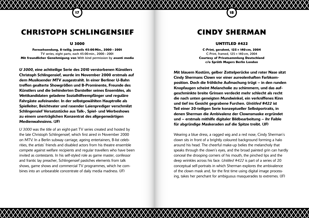## **CHRISTOPH SCHLINGENSIEF**

**17 18**

#### **U 3000**

**Fernsehsendung, 8-teilig, jeweils 45:00 Min., 2000 – 2001** TV series, eight parts, each 45:00 min., 2000 –2001 **Mit freundlicher Genehmigung von** With kind permission by **avanti media**

*U 3000*, eine achtteilige Serie des 2010 verstorbenen Künstlers Christoph Schlingensief, wurde im November 2000 erstmals auf dem Musiksender MTV ausgestrahlt. In einer Berliner U-Bahn treffen gealterte Showgrößen und B-Prominente, Freunde des Künstlers und die behinderten Darsteller seines Ensembles, als Wettkandidaten geladene Sozialhilfeempfänger und reguläre Fahrgäste aufeinander. In der selbstgewählten Hauptrolle als Spielleiter, Beichtvater und rasender Laienprediger verschmilzt Schlingensief Versatzstücke aus Talk-, Spiel- und Werbeshows zu einem unerträglichen Konzentrat des allgegenwärtigen Medienwahnsinns. (JF)

*U 3000* was the title of an eight-part TV series created and hosted by the late Christoph Schlingensief, which first aired in November 2000 on MTV. In a Berlin subway carriage, ageing entertainers, B-list celebrities, the artists' friends and disabled actors from his theatre ensemble compete against welfare recipients and regular travellers who have been invited as contestants. In his self-styled role as game master, confessor and frantic lay preacher, Schlingensief pastiches elements from talk shows, game shows and commercial TV programmes, which he combines into an unbearable concentrate of daily media madness. (JF)

## **CINDY SHERMAN**

#### **UNTITLED #422**

**C-Print, gerahmt, 125 × 140 cm, 2004** C-Print, framed, 125 × 140 cm, 2004 **Courtesy of Privatsammlung Deutschland c/o Sprüth Magers Berlin London**

Mit blauem Kostüm, gelber Zottelperücke und roter Nase sitzt Cindy Shermans Clown vor einer aureolenhaften Farbkomposition. Doch die fröhliche Aufmachung trügt – in den runden Knopfaugen scheint Melancholie zu schimmern, und das aufgeschminkte breite Grinsen verdeckt mehr schlecht als recht die nach unten geneigten Mundwinkel, ein verkniffenes Kinn und tief ins Gesicht gegrabene Furchen. *Untitled #422* ist Teil einer 20-teiligen Serie konzeptueller Selbstportraits, in denen Sherman die Ambivalenz der Clownsmaske ergründet und – erstmals mithilfe digitaler Bildbearbeitung – ihr Faible für abgründige Maskeraden auf die Spitze treibt. (JF)

Wearing a blue dress, a ragged wig and a red nose, Cindy Sherman's clown sits in front of a brightly coloured background forming a halo around his head. The cheerful make-up belies the melancholy that speaks through the clown's eyes, and the broad painted grin can hardly conceal the drooping corners of his mouth, the pinched lips and the deep wrinkles across his face. *Untitled #422* is part of a series of 20 conceptual self-portraits in which Sherman explores the ambivalence of the clown mask and, for the first time using digital image processing, takes her penchant for ambiguous masquerades to extremes. (JF)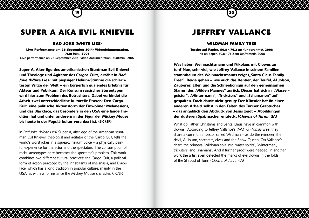## **SUPER A AKA EVIL KNIEVEL**

XXXXXXXXX

**19 20**

#### **BAD JOKE (WHITE LIES)**

**Live-Performance am 26. September 2014; Videodokumentation, 7:30 Min., 2007**  Live performance on 26 September 2014; video documentation, 7:30 min., 2007

Super A, Alter Ego des amerikanischen Stuntman Evil Knievel und Theologe und Agitator des Cargos Cults, erzählt in *Bad Joke (White Lies)* mit piepsiger Helium-Stimme die schlechtesten Witze der Welt – ein körperlich quälendes Erlebnis für Akteur und Publikum. Der Konsum rassischer Stereotypen wird hier zum Problem des Betrachters. Dabei verbindet die Arbeit zwei unterschiedliche kulturelle Praxen: Den Cargo--Kult, eine politische Aktionsform der Einwohner Melanesiens, und das Blackface, das besonders in den USA eine lange Tradition hat und unter anderem in der Figur der Mickey Mouse bis heute in der Populärkultur verankert ist. (JK/JF)

In *Bad Joke (White Lies)* Super A, alter ego of the American stuntman Evil Knievel, theologist and agitator of the Cargo Cult, tells the world's worst jokes in a squeaky helium voice – a physically painful experience for the actor and the spectators. The consumption of racist stereotypes here becomes the spectator's problem. This work combines two different cultural practices: the Cargo Cult, a political form of action practiced by the inhabitants of Melanasia, and Blackface, which has a long tradition in popular culture, mainly in the USA, as witness for instance the Mickey Mouse character. (JK/JF)

## **JEFFREY VALLANCE**

#### **WILDMAN FAMILY TREE**

**Tusche auf Papier, 50,8 × 76,2 cm (ungerahmt), 2008** Ink on paper,  $50.8 \times 76.2$  cm (unframed), 2008

Was haben Weihnachtsmann und Nikolaus mit Clowns zu tun? Nun, sehr viel, wie Jeffrey Vallance in seinem Familienstammbaum des Weihnachtsmanns zeigt ("Santa Claus Family Tree"). Beide gehen – wie auch das Rentier, der Teufel, Al Jolson, Zauberer, Elfen und die Schneekönigin auf den gemeinsamen Stamm des "Wilden Mannes" zurück. Dieser hat sich in "Wassergeister", "Wintermann", "Tricksters" und "Schamanen" aufgespalten. Doch damit nicht genug: Der Künstler hat (in einer anderen Arbeit) selbst in den Falten des Turiner Grabtuches – das angeblich den Abdruck von Jesus zeigt – Abbildungen der düsteren Spaßmacher entdeckt (*Clowns of Turin*). (IA)

What do Father Christmas and Santa Claus have in common with clowns? According to Jeffrey Vallance's *Wildman Family Tree*, they share a common ancestor called Wildman – as do the reindeer, the devil, Al Jolson, sorcerers, elves and the Snow Queen. On Vallance's chart, the primeval Wildman split into 'water spirits', 'Winterman', 'tricksters' and 'shamans'. And if further proof were needed, in another work the artist even detected the marks of evil clowns in the folds of the Shroud of Turin (*Clowns of Turin*). (IA)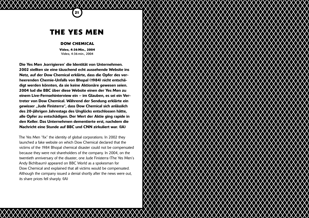## **THE YES MEN**

**21**

#### **DOW CHEMICAL**

**Video, 4:36 Min., 2004**  Video, 4:36 min., 2004

Die Yes Men 'korrigieren' die Identität von Unternehmen. 2002 stellten sie eine täuschend echt aussehende Website ins Netz, auf der Dow Chemical erklärte, dass die Opfer des verheerenden Chemie-Unfalls von Bhopal (1984) nicht entschädigt werden könnten, da sie keine Aktionäre gewesen seien. 2004 lud die BBC über diese Website einen der Yes Men zu einem Live-Fernsehinterview ein – im Glauben, es sei ein Vertreter von Dow Chemical. Während der Sendung erklärte ein gewisser "Jude Finisterra", dass Dow Chemical sich anlässlich des 20-jährigen Jahrestags des Unglücks entschlossen hätte, alle Opfer zu entschädigen. Der Wert der Aktie ging rapide in den Keller. Das Unternehmen dementierte erst, nachdem die Nachricht eine Stunde auf BBC und CNN zirkuliert war. (IA)

The Yes Men "fix" the identity of global corporations. In 2002 they launched a fake website on which Dow Chemical declared that the victims of the 1984 Bhopal chemical disaster could not be compensated because they were not shareholders of the company. In 2004, on the twentieth anniversary of the disaster, one Jude Finisterra (The Yes Men's Andy Bichlbaum) appeared on BBC World as a spokesman for Dow Chemical and explained that all victims would be compensated. Although the company issued a denial shortly after the news were out, its share prices fell sharply. (IA)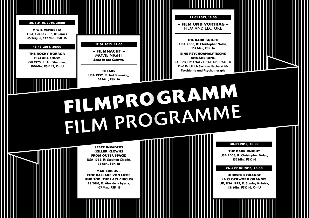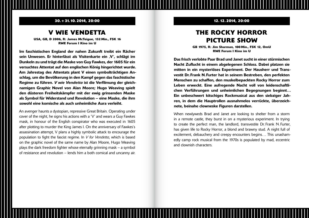#### **12. 12. 2014, 20:00**

#### **30. + 31.10. 2014, 20:00**

### **V WIE VENDETTA**

**USA, GB, D 2006, R: James McTeigue, 132 Min., FSK 16 RWE Forum I Kino im U**

Im faschistischen England der nahen Zukunft treibt ein Rächer sein Unwesen. Er hinterlässt als Visitenkarte ein , V', schlägt im Dunkeln zu und trägt die Maske von Guy Fawkes, der 1605 für ein versuchtes Attentat auf den englischen König hingerichtet wurde. Am Jahrestag des Attentats plant V einen symbolträchtigen Anschlag, um die Bevölkerung in den Kampf gegen das faschistische Regime zu führen. *V wie Vendetta* ist die Verfilmung der gleichnamigen Graphic Novel von Alan Moore; Hugo Weaving spielt den düsteren Freiheitskämpfer mit der ewig grinsenden Maske als Symbol für Widerstand und Revolution – eine Maske, die ihm sowohl eine komische als auch unheimliche Aura verleiht.

An avenger haunts a dystopian, repressive Great Britain. Operating under cover of the night, he signs his actions with a 'V' and wears a Guy Fawkes mask, in honour of the English conspirator who was executed in 1605 after plotting to murder the King James I. On the anniversary of Fawkes's assassination attempt, V plans a highly symbolic attack to encourage the population to fight the fascist regime. In *V for Vendetta*, which is based on the graphic novel of the same name by Alan Moore, Hugo Weaving plays the dark freedom fighter whose eternally grinning mask – a symbol of resistance and revolution – lends him a both comical and uncanny air.

## **THE ROCKY HORROR PICTURE SHOW**

**GB 1975, R: Jim Sharman, 100 Min., FSK 12, OmU RWE Forum I Kino im U**

Das frisch verlobte Paar Brad und Janet sucht in einer stürmischen Nacht Zuflucht in einem abgelegenen Schloss. Dabei platzen sie mitten in ein mysteriöses Experiment. Der Hausherr und Transvestit Dr.Frank N.Furter hat in seinem Bestreben, den perfekten Menschen zu schaffen, den muskelbepackten Rocky Horror zum Leben erweckt. Eine aufregende Nacht voll von leidenschaftlichen Verführungen und unheimlichen Begegnungen beginnt… Ein unbeschwert kitschiges Rockmusical aus den siebziger Jahren, in dem die Hauptrollen ausnahmelos verrückte, überzeichnete, beinahe clowneske Figuren darstellen.

When newlyweds Brad and Janet are looking to shelter from a storm in a remote castle, they burst in on a mysterious experiment. In trying to create the perfect man, the landlord, transvestite Dr. Frank N. Furter, has given life to Rocky Horror, a blond and brawny stud. A night full of excitement, debauchery and creepy encounters begins. . . This unashamedly camp rock musical from the 1970s is populated by mad, eccentric and clownish characters.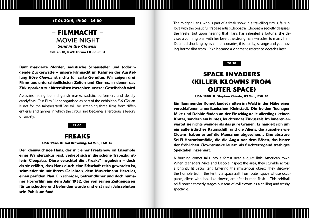#### **17. 01. 2014, 19:00 – 24:00**

### **– FILMNACHT –**  MOVIE NIGHT *Send in the Clowns!*

**FSK ab 18, RWE Forum I Kino im U**

Bunt maskierte Mörder, sadistische Schausteller und todbringende Zuckerwatte – unsere Filmnacht im Rahmen der Ausstellung *Böse Clowns* ist nichts für zarte Gemüter. Wir zeigen drei Filme aus unterschiedlichsten Zeiten und Genres, in denen das Zirkusparkett zur bitterbösen Metapher unserer Gesellschaft wird.

Assassins hiding behind garish masks, sadistic performers and deadly candyfloss: Our Film Night organised as part of the exhibition *Evil Clowns* is not for the fainthearted! We will be screening three films from different eras and genres in which the circus ring becomes a ferocious allegory of society.



### **FREAKS**

#### **USA 1932, R: Tod Browning, 64 Min., FSK 16**

Der kleinwüchsige Hans, der mit einer Freakshow im Ensemble eines Wanderzirkus reist, verliebt sich in die schöne Trapezkünstlerin Cleopatra. Diese verachtet die "Freaks" insgeheim – doch als sie erfährt, dass Hans durch eine Erbschaft reich geworden ist, schmiedet sie mit ihrem Geliebten, dem Muskelmann Hercules, einen perfiden Plan. Ein schräger, befremdlicher und doch humaner Horrorfilm aus dem Jahr 1932, der von seinen Zeitgenossen für zu schockierend befunden wurde und erst nach Jahrzehnten sein Publikum fand.

The midget Hans, who is part of a freak show in a travelling circus, falls in love with the beautiful trapeze artist Cleopatra. Cleopatra secretly despises the freaks, but upon hearing that Hans has inherited a fortune, she devises a cunning plan with her lover, the strongman Hercules, to marry him. Deemed shocking by its contemporaries, this quirky, strange and yet moving horror film from 1932 became a cinematic reference decades later.



## **SPACE INVADERS (KILLER KLOWNS FROM OUTER SPACE)**

**USA 1988, R: Stephen Chiodo, 83 Min., FSK 18**

Ein flammender Komet landet mitten im Wald in der Nähe einer verschlafenen amerikanischen Kleinstadt. Die beiden Teenager Mike und Debbie finden an der Einschlagstelle allerdings keinen Krater, sondern ein buntes, leuchtendes Zirkuszelt. Im Inneren erwartet sie nichts weniger als das pure Grauen: Es handelt sich um ein außerirdisches Raumschiff, und die Aliens, die aussehen wie Clowns, haben es auf die Menschen abgesehen… Eine abstruse Sci-Fi-Horrorkomödie, die die Angst vor dem Bösen, das hinter der fröhlichen Clownsmaske lauert, als furchterregend trashiges Spektakel inszeniert.

A burning comet falls into a forest near a quiet little American town. When teenagers Mike and Debbie inspect the area, they stumble across a brightly lit circus tent. Entering the mysterious object, they discover the horrible truth: the tent is a spacecraft from outer space whose occupants, aliens who look like clowns, are after human flesh... This oddball sci-fi horror comedy stages our fear of evil clowns as a chilling and trashy spectacle.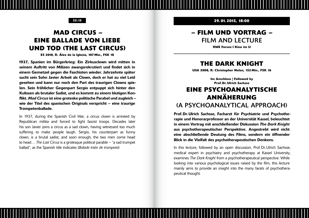#### **22:15**

## **MAD CIRCUS – EINE BALLADE VON LIEBE UND TOD (THE LAST CIRCUS)**

**ES 2010, R: Álex de la Iglesia, 107 Min., FSK 18**

1937, Spanien im Bürgerkrieg: Ein Zirkusclown wird mitten in seinem Auftritt von Milizen zwangsrekrutiert und findet sich in einem Gemetzel gegen die Faschisten wieder. Jahrzehnte später sucht sein Sohn Javier Arbeit als Clown, doch er hat zu viel Leid gesehen und kann nur noch den Part des traurigen Clowns spielen. Sein fröhlicher Gegenpart Sergio entpuppt sich hinter den Kulissen als brutaler Sadist, und es kommt zu einem blutigen Konflikt. *Mad Circus* ist eine groteske politische Parabel und zugleich – wie der Titel des spanischen Originals verspricht – eine traurige Trompetenballade.

In 1937, during the Spanish Civil War, a circus clown is arrested by Republican militia and forced to fight fascist troops. Decades later his son Javier joins a circus as a sad clown, having witnessed too much suffering to make people laugh. Sergio, his counterpart as funny clown, is a brutal sadist, and soon enough, the two men come head to head… *The Last Circus* is a grotesque political parable – "a sad trumpet ballad", as the Spanish title indicates (*Balade triste de trompeta*).

**29. 01. 2015, 18:00**

## **– FILM UND VORTRAG –**  FILM AND LECTURE

**RWE Forum I Kino im U**

### **THE DARK KNIGHT**

**USA 2008, R: Christopher Nolan, 152 Min., FSK 16**

**Im Anschluss | Followed by Prof. Dr. Ulrich Sachsse**

## **EINE PSYCHOANALYTISCHE ANNÄHERUNG**  (A PSYCHOANALYTICAL APPROACH)

Prof.Dr.Ulrich Sachsse, Facharzt für Psychiatrie und Psychotherapie und Honorarprofessor an der Universität Kassel, beleuchtet in einem Vortrag mit anschließender Diskussion *The Dark Knight* aus psychotherapeutischer Perspektive. Angestrebt wird nicht eine abschließende Deutung des Films, sondern ein öffnender Blick in die Vielfalt des psychotherapeutischen Denkens.

In this lecture, followed by an open discussion, Prof.Dr.Ulrich Sachsse, medical expert in psychiatry and psychotherapy at Kassel University, examines *The Dark Knight* from a psychotherapeutical perspective. While looking into various psychological issues raised by the film, this lecture mainly aims to provide an insight into the many facets of psychotherapeutical thought.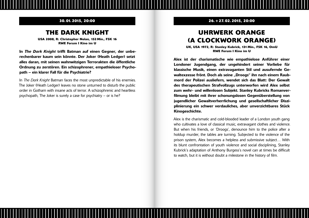#### **26. + 27. 02. 2015, 20:00**

#### **30. 01. 2015, 20:00**

### **THE DARK KNIGHT**

**USA 2008, R: Christopher Nolan, 152 Min., FSK 16 RWE Forum I Kino im U**

In *The Dark Knight* trifft Batman auf einen Gegner, der unberechenbarer kaum sein könnte. Der Joker (Heath Ledger) setzt alles daran, mit seinen wahnwitzigen Terrorakten die öffentliche Ordnung zu zerstören. Ein schizophrener, empathieloser Psychopath – ein klarer Fall für die Psychiatrie?

In *The Dark Knight* Batman faces the most unpredictable of his enemies. The Joker (Heath Ledger) leaves no stone unturned to disturb the public order in Gotham with insane acts of terror. A schizophrenic and heartless psychopath, The Joker is surely a case for psychiatry – or is he?

## **UHRWERK ORANGE (A CLOCKWORK ORANGE)**

**UK, USA 1972, R: Stanley Kubrick, 131 Min., FSK 16, OmU RWE Forum I Kino im U**

Alex ist der charismatische wie empathielose Anführer einer Londoner Jugendgang, der ungehindert seiner Vorliebe für klassische Musik, einen extravaganten Stil und ausufernde Gewaltexzesse frönt. Doch als seine "Droogs" ihn nach einem Raubmord der Polizei ausliefern, wendet sich das Blatt: Der Gewalt des therapeutischen Strafvollzugs unterworfen wird Alex selbst zum wehr- und willenlosen Subjekt. Stanley Kubricks Romanverfilmung bleibt mit ihrer schonungslosen Gegenüberstellung von jugendlicher Gewaltverherrlichung und gesellschaftlicher Disziplinierung ein schwer verdauliches, aber unverzichtbares Stück Kinogeschichte.

Alex is the charismatic and cold-blooded leader of a London youth gang who cultivates a love of classical music, extravagant clothes and violence. But when his friends, or 'Droogs', denounce him to the police after a holdup murder, the tables are turning. Subjected to the violence of the prison system, Alex becomes a helpless and submissive subject… With its blunt confrontation of youth violence and social disciplining, Stanley Kubrick's adaptation of Anthony Burgess's novel can at times be difficult to watch, but it is without doubt a milestone in the history of film.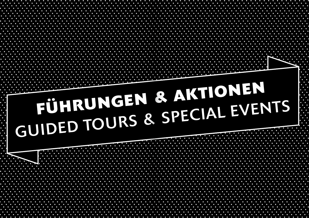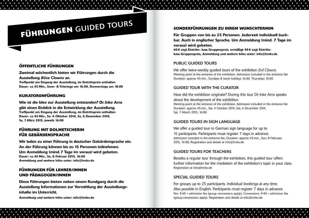## **FÜHRUNGEN** GUIDED TOURS

#### **ÖFFENTLICHE FÜHRUNGEN**

Zweimal wöchentlich bieten wir Führungen durch die Ausstellung *Böse Clowns* an. Treffpunkt am Eingang der Ausstellung, im Eintrittspreis enthalten Dauer: ca.45 Min., Sonn- & Feiertags um 16:00, Donnerstags um 18:00

#### **KURATORENFÜHRUNG**

Wie ist die Idee zur Ausstellung entstanden? Dr.Inke Arns gibt einen Einblick in die Entwicklung der Ausstellung. Treffpunkt am Eingang der Ausstellung, im Eintrittspreis enthalten Dauer: ca.45 Min., Sa, 4. Oktober 2014, Sa, 6.Dezember 2014, Sa, 7.März 2015, jeweils 16:00

#### **FÜHRUNG MIT DOLMETSCHERIN FÜR GEBÄRDENSPRACHE**

Wir laden zu einer Führung in deutscher Gebärdensprache ein. An der Führung können bis zu 15 Personen teilnehmen. Um Anmeldung (mind.7 Tage im voraus) wird gebeten. Dauer: ca.45 Min., So, 8. Februar 2015, 16:00 Anmeldung und weitere Infos unter: info@hmkv.de

#### **FÜHRUNGEN FÜR LEHRER/INNEN UND PÄDAGOGEN/INNEN**

Diese Führungen bieten neben einem Rundgang durch die Ausstellung Informationen zur Vermittlung der Ausstellungsinhalte im Unterricht.

Anmeldung und weitere Infos unter: info@hmkv.de

#### **SONDERFÜHRUNGEN ZU IHREM WUNSCHTERMIN**

Für Gruppen von bis zu 25 Personen. Jederzeit individuell buchbar. Auch in englischer Sprache. Um Anmeldung (mind. 7 Tage im voraus) wird gebeten.

60€ zzgl. Eintritts- bzw.Gruppenpreis, ermäßigt 40€ zzgl. Eintrittsbzw. Gruppenpreis, Anmeldung und weitere Infos unter: info@hmkv.de

#### PUBLIC GUIDED TOURS

We offer twice-weekly guided tours of the exhibition *Evil Clowns*. Meeting point at the entrance of the exhibition. Admission included in the entrance fee Duration: approx. 45 min., Sundays & bank holidays 16:00, Thursdays 18:00

#### GUIDED TOUR WITH THE CURATOR

How did the exhibition originate? During this tour Dr. Inke Arns speaks about the development of the exhibition. Meeting point at the entrance of the exhibition. Admission included in the entrance fee Duration: approx. 45 min., Sat, 4 October 2014, Sat, 6 December 2014, Sat, 7 March 2015, 16:00

#### GUIDED TOURS IN SIGN LANGUAGE

We offer a guided tour in German sign language for up to 15 participants. Participants must register 7 days in advance. Admission included in the entrance fee, Duration: approx. 45 min., Sun, 8 February 2015, 16:00, Registration and details at info@hmkv.de

#### GUIDED TOURS FOR TEACHERS

Besides a regular tour through the exhibition, this guided tour offers further information for the mediation of the exhibition's topic in your class. Registration at info@hmkv.de

#### SPECIAL GUIDED TOURS

For groups up to 25 participants. Individual bookings at any time. Also possible in English. Participants must register 7 days in advance. Fee: € 60 + admission fee (group concessions apply), Concessions: € 40 + admission fee (group concessions apply), Registration and details at info@hmkv.de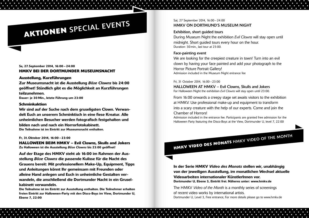## **AKTIONEN** SPECIAL EVENTS

Sa, 27. September 2014, 16:00–24:00

#### **HMKV BEI DER DORTMUNDER MUSEUMSNACHT**

#### **Ausstellung, Kurzführungen**

Zur Museumsnacht ist die Ausstellung *Böse Clowns* bis 24:00 geöffnet! Stündlich gibt es die Möglichkeit an Kurzführungen teilzunehmen. Dauer: je 30 Min., letzte Führung um 23:00

#### **Schminkaktion**

Wir sind auf der Suche nach dem gruseligsten Clown. Verwandelt Euch an unserem Schminktisch in eine fiese Kreatur. Alle unheimlichen Besucher werden fotografisch festgehalten und bilden nach und nach ein Horrorfotokabinett. Die Teilnahme ist im Eintritt zur Museumsnacht enthalten.

#### Fr, 31. Oktober 2014, 16:00–23:00

**HALLOWEEN BEIM HMKV – Evil Clowns, Skulls and Jokers** Zu Halloween ist die Ausstellung *Böse Clowns* bis 23:00 geöffnet!

Auf der Etage des HMKV steht ab 16:00 im Rahmen der Ausstellung *Böse Clowns* die passende Kulisse für die Nacht des Grauens bereit: Mit professionellem Make-Up, Equipment, Tipps und Anleitungen könnt Ihr gemeinsam mit Freunden oder alleine Hand anlegen und Euch in unheimliche Gestalten verwandeln, die anschließend die Dortmunder Nacht in ein Grusel-

#### kabinett verwandeln.

Die Teilnahme ist im Eintritt zur Ausstellung enthalten. Die Teilnehmer erhalten freien Eintritt zur Halloween-Party mit den Disco-Boys im View, Dortmunder U, Ebene 7, 22:00

#### Sat, 27 September 2014, 16:00 – 24:00 HMKV ON DORTMUND'S MUSEUM NIGHT

#### Exhibition, short guided tours

During Museum Night the exhibition *Evil Clowns* will stay open until midnight. Short guided tours every hour on the hour. Duration: 30 min., last tour at 23:00.

#### Face-painting event

We are looking for the creepiest creature in town! Turn into an evil clown by having your face painted and add your photograph to the Horror Picture Portrait Gallery! Admission included in the Museum Night entrance fee

#### Fri, 31 October 2014, 16:00 –23:00

HALLOWEEN AT HMKV – Evil Clowns, Skulls and Jokers For Halloween Night the exhibition *Evil Clowns* will stay open until 23:00.

From 16:00 onwards a creepy stage set awaits visitors to the exhibition at HMKV. Use professional make-up and equipment to transform into a scary creature with the help of our experts. Come and join the Chamber of Horrors!

Admission included in the entrance fee. Participants are granted free admission for the Halloween Party featuring the Disco-Boys at the View, Dortmunder U, level 7, 22:00

**HMKV VIDEO DES MONATS** HMKV VIDEO OF THE MONTH

In der Serie HMKV *Video des Monats* stellen wir, unabhängig von der jeweiligen Ausstellung, im monatlichen Wechsel aktuelle Videoarbeiten internationaler KünstlerInnen vor. Dortmunder U, Ebene 3, Eintritt frei. Näheres unter: www.hmkv.de

The HMKV *Video of the Month* is a monthly series of screenings of recent video works by international artists. Dortmunder U, Level 3, Free entrance, For more details please go to www.hmkv.de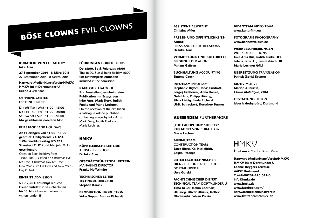## **BÖSE CLOWNS** EVIL CLOWNS

#### KURATIERT VON CURATED BY Inke Arns

27. September 2014–8.März 2015 27 September, 2014–8 March, 2015

Hartware MedienKunstVerein(HMKV) HMKV im at Dortmunder U Ebene 3 3rd floor

#### ÖFFNUNGSZEITEN OPENING HOURS

Di+Mi Tue+Wed 11:00–18:00 Do+Fr Thu+Fri 11:00–20:00 Sa+So Sat+Sun 11:00–18:00 Mo geschlossen closed on Mon

FEIERTAGE BANK HOLIDAYS

An Feiertagen von 11:00–18:00 geöffnet. Heiligabend (24.12.), 1.Weihnachtsfeiertag (25.12.), Silvester (31.12.) und Neujahr (1.1.) geschlossen.

Open on Bank holidays from 11:00 –18:00. Closed on Christmas Eve (24 Dec), Christmas Day (25 Dec), New Year's Eve (31 Dec) and New Year's Day (1 Jan).

#### EINTRITT ADMISSION

5€ / 2,50€ ermäßigt reduced Freier Eintritt für BesucherInnen bis 18 Jahre Free admission for visitors under 18

#### FÜHRUNGEN GUIDED TOURS

Do 18:00, So & Feiertags 16:00 Thu 18:00, Sun & bank holiday 16:00 (im Eintrittspreis enthalten included in the admission)

KATALOG CATALOGUE Zur Ausstellung erscheint eine Publikation mit Essays von Inke Arns, Mark Dery, Judith Funke und Marie Lechner. On the occasion of the exhibition a catalogue will be published containing essays by Inke Arns, Mark Dery, Judith Funke and Marie Lechner.

#### **HMKV**

KÜNSTLERISCHE LEITERIN ARTISTIC DIRECTOR Dr.Inke Arns

GESCHÄFTSFÜHRENDE LEITERIN MANAGING DIRECTOR Frauke Hoffschulte

TECHNISCHER LEITER TECHNICAL DIRECTOR Stephan Karass

PRODUKTION PRODUCTION Yoko Dupuis, Andrea Eichardt

ASSISTENZ ASSISTANT Christina Müer

PRESSE- UND ÖFFENTLICHKEITS-**ARREIT** PRESS AND PUBLIC RELATIONS Dr.Inke Arns

VERMITTLUNG UND KULTURELLE BILDUNG EDUCATION Mirjam Gaffran

BUCHHALTUNG ACCOUNTING Simone Czech

INFOTEAM INFOTEAM Stephanie Brysch, Jonas Eickhoff, Sergej Grebenuk, Anna Hauke, Nele Hinz, Philipp Höning, Silvia Liebig, Linda Richerd, Ulrik Schreckert, Dorothee Tesmer

#### **AUSSERDEM** FURTHERMORE

THE CACOPHONY SOCIETY" KURATIERT VON CURATED BY Marie Lechner

AUFBAUTEAM CONSTRUCTION TEAM Sanja Biere, Kai Kickelbick, Zeliko Petoniic

LEITER FACHTECHNISCHER DIENST TECHNICAL DIRECTOR DORTMUNDER U Uwe Gorski

FACHTECHNISCHER DIENST TECHNICAL TEAM DORTMUNDER U Timo Kruck, Robin Lockhart, Uli Lueg, Oliver Okunik, Detlev Olschewski, Fabian Polzin

VIDEOTEAM VIDEO TEAM www.kulturfilm.eu

FOTOGRAFIE PHOTOGRAPHY www.hanneswoidich.de

WERKRESCHREIBUNGEN WORK DESCRIPTIONS Inke Arns (IA), Judith Funke (JF), Jelena Jazo (JJ), Jens Kabisch (JK). Marie Lechner (ML)

ÜBERSETZUNG TRANSLATION Patrick (Boris) Kremer

MOTIV MOTIVE Marion Auburtin, *Clown Maléfique*, 2014

GESTALTUNG DESIGN labor b designbüro, Dortmund

HMKV

Hartware MedienKunstVerein

Hartware MedienKunstVerein(HMKV) HMKV im at Dortmunder U Leonie-Reygers-Terrasse 44137 Dortmund T +49-(0)231-496 642-0 info@hmkv.de www.hmkv.de www.facebook.com/ hartwaremedienkunstverein www.twitter.com/hmkv\_de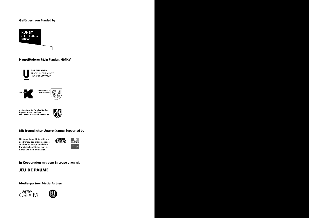#### Gefördert von Funded by



#### Hauptförderer Main Funders HMKV





Ministerium für Familie, Kinder, Jugend, Kultur und Sport des Landes Nordrhein Westfalen



#### Mit freundlicher Unterstützung Supported by

Mit freundlicher Unterstützung des Bureau des arts plastiques des Institut français und dem französischen Ministerium für Kultur und Kommunikation.



In Kooperation mit dem In cooperation with

#### **JEU DE PAUME**

Medienpartner Media Partners